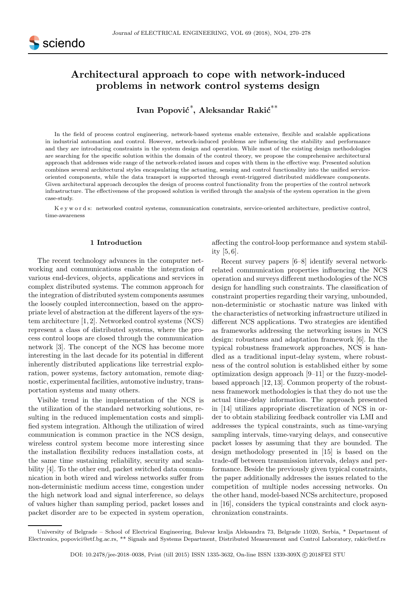# Architectural approach to cope with network-induced problems in network control systems design

# Ivan Popović $\displaystyle{\stackrel{*}{,}}$  Aleksandar Rakić $\displaystyle{\stackrel{**}{,}}$

In the field of process control engineering, network-based systems enable extensive, flexible and scalable applications in industrial automation and control. However, network-induced problems are influencing the stability and performance and they are introducing constraints in the system design and operation. While most of the existing design methodologies are searching for the specific solution within the domain of the control theory, we propose the comprehensive architectural approach that addresses wide range of the network-related issues and copes with them in the effective way. Presented solution combines several architectural styles encapsulating the actuating, sensing and control functionality into the unified serviceoriented components, while the data transport is supported through event-triggered distributed middleware components. Given architectural approach decouples the design of process control functionality from the properties of the control network infrastructure. The effectiveness of the proposed solution is verified through the analysis of the system operation in the given case-study.

K e y w o r d s: networked control systems, communication constraints, service-oriented architecture, predictive control, time-awareness

#### 1 Introduction

The recent technology advances in the computer networking and communications enable the integration of various end-devices, objects, applications and services in complex distributed systems. The common approach for the integration of distributed system components assumes the loosely coupled interconnection, based on the appropriate level of abstraction at the different layers of the system architecture [1, 2]. Networked control systems (NCS) represent a class of distributed systems, where the process control loops are closed through the communication network [3]. The concept of the NCS has become more interesting in the last decade for its potential in different inherently distributed applications like terrestrial exploration, power systems, factory automation, remote diagnostic, experimental facilities, automotive industry, transportation systems and many others.

Visible trend in the implementation of the NCS is the utilization of the standard networking solutions, resulting in the reduced implementation costs and simplified system integration. Although the utilization of wired communication is common practice in the NCS design, wireless control system become more interesting since the installation flexibility reduces installation costs, at the same time sustaining reliability, security and scalability [4]. To the other end, packet switched data communication in both wired and wireless networks suffer from non-deterministic medium access time, congestion under the high network load and signal interference, so delays of values higher than sampling period, packet losses and packet disorder are to be expected in system operation,

affecting the control-loop performance and system stability [5, 6].

Recent survey papers [6–8] identify several networkrelated communication properties influencing the NCS operation and surveys different methodologies of the NCS design for handling such constraints. The classification of constraint properties regarding their varying, unbounded, non-deterministic or stochastic nature was linked with the characteristics of networking infrastructure utilized in different NCS applications. Two strategies are identified as frameworks addressing the networking issues in NCS design: robustness and adaptation framework [6]. In the typical robustness framework approaches, NCS is handled as a traditional input-delay system, where robustness of the control solution is established either by some optimization design approach [9–11] or the fuzzy-modelbased approach [12, 13]. Common property of the robustness framework methodologies is that they do not use the actual time-delay information. The approach presented in [14] utilizes appropriate discretization of NCS in order to obtain stabilizing feedback controller via LMI and addresses the typical constraints, such as time-varying sampling intervals, time-varying delays, and consecutive packet losses by assuming that they are bounded. The design methodology presented in [15] is based on the trade-off between transmission intervals, delays and performance. Beside the previously given typical constraints, the paper additionally addresses the issues related to the competition of multiple nodes accessing networks. On the other hand, model-based NCSs architecture, proposed in [16], considers the typical constraints and clock asynchronization constraints.

University of Belgrade – School of Electrical Engineering, Bulevar kralja Aleksandra 73, Belgrade 11020, Serbia, \* Department of Electronics, popovici@etf.bg.ac.rs, \*\* Signals and Systems Department, Distributed Measurement and Control Laboratory, rakic@etf.rs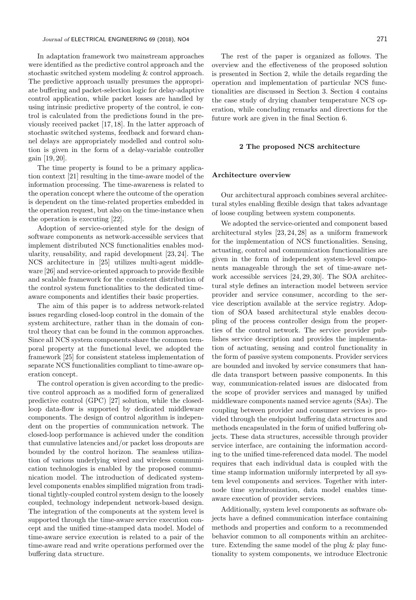In adaptation framework two mainstream approaches were identified as the predictive control approach and the stochastic switched system modeling & control approach. The predictive approach usually presumes the appropriate buffering and packet-selection logic for delay-adaptive control application, while packet losses are handled by using intrinsic predictive property of the control, ie control is calculated from the predictions found in the previously received packet [17, 18]. In the latter approach of stochastic switched systems, feedback and forward channel delays are appropriately modelled and control solution is given in the form of a delay-variable controller gain [19, 20].

The time property is found to be a primary application context [21] resulting in the time-aware model of the information processing. The time-awareness is related to the operation concept where the outcome of the operation is dependent on the time-related properties embedded in the operation request, but also on the time-instance when the operation is executing [22].

Adoption of service-oriented style for the design of software components as network-accessible services that implement distributed NCS functionalities enables modularity, reusability, and rapid development [23, 24]. The NCS architecture in [25] utilizes multi-agent middleware [26] and service-oriented approach to provide flexible and scalable framework for the consistent distribution of the control system functionalities to the dedicated timeaware components and identifies their basic properties.

The aim of this paper is to address network-related issues regarding closed-loop control in the domain of the system architecture, rather than in the domain of control theory that can be found in the common approaches. Since all NCS system components share the common temporal property at the functional level, we adopted the framework [25] for consistent stateless implementation of separate NCS functionalities compliant to time-aware operation concept.

The control operation is given according to the predictive control approach as a modified form of generalized predictive control (GPC) [27] solution, while the closedloop data-flow is supported by dedicated middleware components. The design of control algorithm is independent on the properties of communication network. The closed-loop performance is achieved under the condition that cumulative latencies and/or packet loss dropouts are bounded by the control horizon. The seamless utilization of various underlying wired and wireless communication technologies is enabled by the proposed communication model. The introduction of dedicated systemlevel components enables simplified migration from traditional tightly-coupled control system design to the loosely coupled, technology independent network-based design. The integration of the components at the system level is supported through the time-aware service execution concept and the unified time-stamped data model. Model of time-aware service execution is related to a pair of the time-aware read and write operations performed over the buffering data structure.

The rest of the paper is organized as follows. The overview and the effectiveness of the proposed solution is presented in Section 2, while the details regarding the operation and implementation of particular NCS functionalities are discussed in Section 3. Section 4 contains the case study of drying chamber temperature NCS operation, while concluding remarks and directions for the future work are given in the final Section 6.

#### 2 The proposed NCS architecture

#### Architecture overview

Our architectural approach combines several architectural styles enabling flexible design that takes advantage of loose coupling between system components.

We adopted the service-oriented and component based architectural styles [23, 24, 28] as a uniform framework for the implementation of NCS functionalities. Sensing, actuating, control and communication functionalities are given in the form of independent system-level components manageable through the set of time-aware network accessible services [24, 29, 30]. The SOA architectural style defines an interaction model between service provider and service consumer, according to the service description available at the service registry. Adoption of SOA based architectural style enables decoupling of the process controller design from the properties of the control network. The service provider publishes service description and provides the implementation of actuating, sensing and control functionality in the form of passive system components. Provider services are bounded and invoked by service consumers that handle data transport between passive components. In this way, communication-related issues are dislocated from the scope of provider services and managed by unified middleware components named service agents (SAs). The coupling between provider and consumer services is provided through the endpoint buffering data structures and methods encapsulated in the form of unified buffering objects. These data structures, accessible through provider service interface, are containing the information according to the unified time-referenced data model. The model requires that each individual data is coupled with the time stamp information uniformly interpreted by all system level components and services. Together with internode time synchronization, data model enables timeaware execution of provider services.

Additionally, system level components as software objects have a defined communication interface containing methods and properties and conform to a recommended behavior common to all components within an architecture. Extending the same model of the plug & play functionality to system components, we introduce Electronic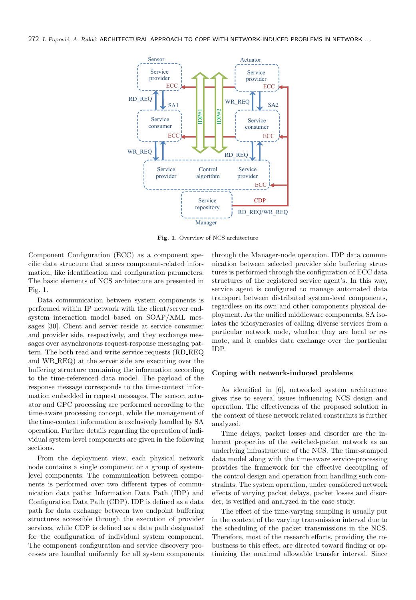

Fig. 1. Overview of NCS architecture

Component Configuration (ECC) as a component specific data structure that stores component-related information, like identification and configuration parameters. The basic elements of NCS architecture are presented in Fig. 1.

Data communication between system components is performed within IP network with the client/server endsystem interaction model based on SOAP/XML messages [30]. Client and server reside at service consumer and provider side, respectively, and they exchange messages over asynchronous request-response messaging pattern. The both read and write service requests (RD REQ and WR REQ) at the server side are executing over the buffering structure containing the information according to the time-referenced data model. The payload of the response message corresponds to the time-context information embedded in request messages. The sensor, actuator and GPC processing are performed according to the time-aware processing concept, while the management of the time-context information is exclusively handled by SA operation. Further details regarding the operation of individual system-level components are given in the following sections.

From the deployment view, each physical network node contains a single component or a group of systemlevel components. The communication between components is performed over two different types of communication data paths: Information Data Path (IDP) and Configuration Data Path (CDP). IDP is defined as a data path for data exchange between two endpoint buffering structures accessible through the execution of provider services, while CDP is defined as a data path designated for the configuration of individual system component. The component configuration and service discovery processes are handled uniformly for all system components

through the Manager-node operation. IDP data communication between selected provider side buffering structures is performed through the configuration of ECC data structures of the registered service agent's. In this way, service agent is configured to manage automated data transport between distributed system-level components, regardless on its own and other components physical deployment. As the unified middleware components, SA isolates the idiosyncrasies of calling diverse services from a particular network node, whether they are local or remote, and it enables data exchange over the particular IDP.

#### Coping with network-induced problems

As identified in [6], networked system architecture gives rise to several issues influencing NCS design and operation. The effectiveness of the proposed solution in the context of these network related constraints is further analyzed.

Time delays, packet losses and disorder are the inherent properties of the switched-packet network as an underlying infrastructure of the NCS. The time-stamped data model along with the time-aware service-processing provides the framework for the effective decoupling of the control design and operation from handling such constraints. The system operation, under considered network effects of varying packet delays, packet losses and disorder, is verified and analyzed in the case study.

The effect of the time-varying sampling is usually put in the context of the varying transmission interval due to the scheduling of the packet transmissions in the NCS. Therefore, most of the research efforts, providing the robustness to this effect, are directed toward finding or optimizing the maximal allowable transfer interval. Since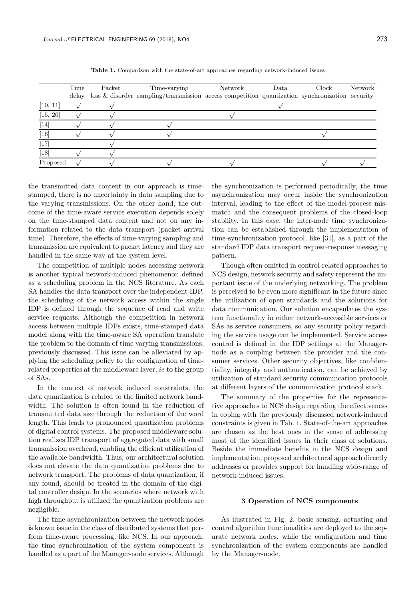|                               | Time | Packet | Time-varying                                                                                            | Network | Data | Clock | Network |
|-------------------------------|------|--------|---------------------------------------------------------------------------------------------------------|---------|------|-------|---------|
|                               |      |        | delay loss $\&$ disorder sampling/transmission access competition quantization synchronization security |         |      |       |         |
| [10, 11]                      |      |        |                                                                                                         |         |      |       |         |
| [15, 20]                      |      |        |                                                                                                         |         |      |       |         |
| $\left\lceil 14 \right\rceil$ |      |        |                                                                                                         |         |      |       |         |
| [16]                          |      |        |                                                                                                         |         |      |       |         |
| $[17]$                        |      |        |                                                                                                         |         |      |       |         |
| [18]                          |      |        |                                                                                                         |         |      |       |         |
| Proposed                      |      |        |                                                                                                         |         |      |       |         |

Table 1. Comparison with the state-of-art approaches regarding network-induced issues

the transmitted data content in our approach is timestamped, there is no uncertainty in data sampling due to the varying transmissions. On the other hand, the outcome of the time-aware service execution depends solely on the time-stamped data content and not on any information related to the data transport (packet arrival time). Therefore, the effects of time-varying sampling and transmission are equivalent to packet latency and they are handled in the same way at the system level.

The competition of multiple nodes accessing network is another typical network-induced phenomenon defined as a scheduling problem in the NCS literature. As each SA handles the data transport over the independent IDP, the scheduling of the network access within the single IDP is defined through the sequence of read and write service requests. Although the competition in network access between multiple IDPs exists, time-stamped data model along with the time-aware SA operation translate the problem to the domain of time varying transmissions, previously discussed. This issue can be alleviated by applying the scheduling policy to the configuration of timerelated properties at the middleware layer, ie to the group of SAs.

In the context of network induced constraints, the data quantization is related to the limited network bandwidth. The solution is often found in the reduction of transmitted data size through the reduction of the word length. This leads to pronounced quantization problems of digital control systems. The proposed middleware solution realizes IDP transport of aggregated data with small transmission overhead, enabling the efficient utilization of the available bandwidth. Thus, our architectural solution does not elevate the data quantization problems due to network transport. The problems of data quantization, if any found, should be treated in the domain of the digital controller design. In the scenarios where network with high throughput is utilized the quantization problems are negligible.

The time asynchronization between the network nodes is known issue in the class of distributed systems that perform time-aware processing, like NCS. In our approach, the time synchronization of the system components is handled as a part of the Manager-node services. Although the synchronization is performed periodically, the time asynchronization may occur inside the synchronization interval, leading to the effect of the model-process mismatch and the consequent problems of the closed-loop stability. In this case, the inter-node time synchronization can be established through the implementation of time-synchronization protocol, like [31], as a part of the standard IDP data transport request-response messaging pattern.

Though often omitted in control-related approaches to NCS design, network security and safety represent the important issue of the underlying networking. The problem is perceived to be even more significant in the future since the utilization of open standards and the solutions for data communication. Our solution encapsulates the system functionality in either network-accessible services or SAs as service consumers, so any security policy regarding the service usage can be implemented. Service access control is defined in the IDP settings at the Managernode as a coupling between the provider and the consumer services. Other security objectives, like confidentiality, integrity and authentication, can be achieved by utilization of standard security communication protocols at different layers of the communication protocol stack.

The summary of the properties for the representative approaches to NCS design regarding the effectiveness in coping with the previously discussed network-induced constraints is given in Tab. 1. State-of-the-art approaches are chosen as the best ones in the sense of addressing most of the identified issues in their class of solutions. Beside the immediate benefits in the NCS design and implementation, proposed architectural approach directly addresses or provides support for handling wide-range of network-induced issues.

#### 3 Operation of NCS components

As ilustrated in Fig. 2, basic sensing, actuating and control algorithm functionalities are deployed to the separate network nodes, while the configuration and time synchronization of the system components are handled by the Manager-node.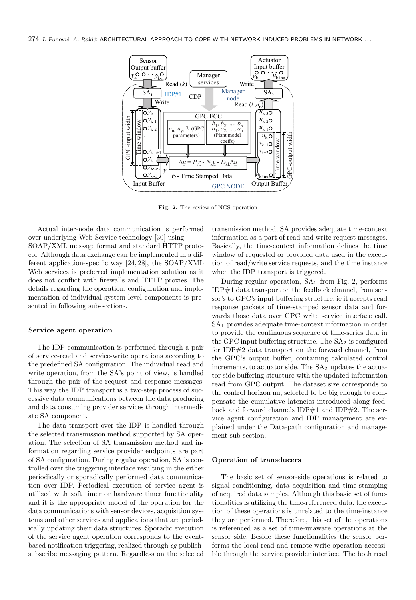274 I. Popović, A. Rakić: ARCHITECTURAL APPROACH TO COPE WITH NETWORK-INDUCED PROBLEMS IN NETWORK ...



Fig. 2. The review of NCS operation

Actual inter-node data communication is performed over underlying Web Service technology [30] using SOAP/XML message format and standard HTTP protocol. Although data exchange can be implemented in a different application-specific way [24, 28], the SOAP/XML Web services is preferred implementation solution as it does not conflict with firewalls and HTTP proxies. The details regarding the operation, configuration and implementation of individual system-level components is presented in following sub-sections.

# Service agent operation

The IDP communication is performed through a pair of service-read and service-write operations according to the predefined SA configuration. The individual read and write operation, from the SA's point of view, is handled through the pair of the request and response messages. This way the IDP transport is a two-step process of successive data communications between the data producing and data consuming provider services through intermediate SA component.

The data transport over the IDP is handled through the selected transmission method supported by SA operation. The selection of SA transmission method and information regarding service provider endpoints are part of SA configuration. During regular operation, SA is controlled over the triggering interface resulting in the either periodically or sporadically performed data communication over IDP. Periodical execution of service agent is utilized with soft timer or hardware timer functionality and it is the appropriate model of the operation for the data communications with sensor devices, acquisition systems and other services and applications that are periodically updating their data structures. Sporadic execution of the service agent operation corresponds to the eventbased notification triggering, realized through eg publishsubscribe messaging pattern. Regardless on the selected transmission method, SA provides adequate time-context information as a part of read and write request messages. Basically, the time-context information defines the time window of requested or provided data used in the execution of read/write service requests, and the time instance when the IDP transport is triggered.

During regular operation,  $SA_1$  from Fig. 2, performs  $IDP#1$  data transport on the feedback channel, from sensor's to GPC's input buffering structure, ie it accepts read response packets of time-stamped sensor data and forwards those data over GPC write service interface call.  $SA<sub>1</sub>$  provides adequate time-context information in order to provide the continuous sequence of time-series data in the GPC input buffering structure. The  $SA<sub>2</sub>$  is configured for IDP#2 data transport on the forward channel, from the GPC's output buffer, containing calculated control increments, to actuator side. The  $SA<sub>2</sub>$  updates the actuator side buffering structure with the updated information read from GPC output. The dataset size corresponds to the control horizon nu, selected to be big enough to compensate the cumulative latencies introduced along feedback and forward channels  $IDP#1$  and  $IDP#2$ . The service agent configuration and IDP management are explained under the Data-path configuration and management sub-section.

# Operation of transducers

The basic set of sensor-side operations is related to signal conditioning, data acquisition and time-stamping of acquired data samples. Although this basic set of functionalities is utilizing the time-referenced data, the execution of these operations is unrelated to the time-instance they are performed. Therefore, this set of the operations is referenced as a set of time-unaware operations at the sensor side. Beside these functionalities the sensor performs the local read and remote write operation accessible through the service provider interface. The both read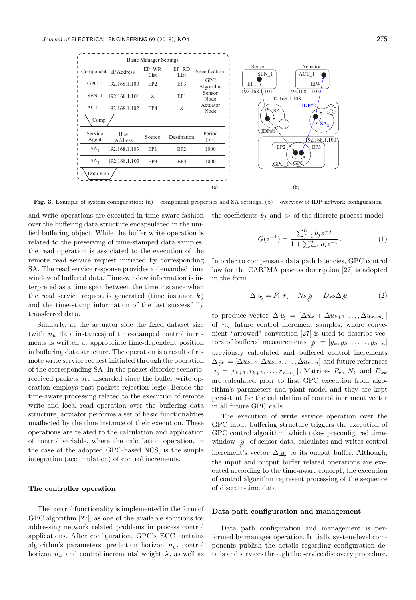

Fig. 3. Example of system configuration: (a) – component properties and SA settings, (b) – overview of IDP network configuration

and write operations are executed in time-aware fashion over the buffering data structure encapsulated in the unified buffering object. While the buffer write operation is related to the preserving of time-stamped data samples, the read operation is associated to the execution of the remote read service request initiated by corresponding SA. The read service response provides a demanded time window of buffered data. Time-window information is interpreted as a time span between the time instance when the read service request is generated (time instance  $k$ ) and the time-stamp information of the last successfully transferred data.

Similarly, at the actuator side the fixed dataset size (with  $n_u$  data instances) of time-stamped control increments is written at appropriate time-dependent position in buffering data structure. The operation is a result of remote write service request initiated through the operation of the corresponding SA. In the packet disorder scenario, received packets are discarded since the buffer write operation employs past packets rejection logic. Beside the time-aware processing related to the execution of remote write and local read operation over the buffering data structure, actuator performs a set of basic functionalities unaffected by the time instance of their execution. These operations are related to the calculation and application of control variable, where the calculation operation, in the case of the adopted GPC-based NCS, is the simple integration (accumulation) of control increments.

# The controller operation

The control functionality is implemented in the form of GPC algorithm [27], as one of the available solutions for addressing network related problems in process control applications. After configuration, GPC's ECC contains algorithm's parameters: prediction horizon  $n_y$ , control horizon  $n_u$  and control increments' weight  $\lambda$ , as well as

the coefficients  $b_i$  and  $a_i$  of the discrete process model

$$
G(z^{-1}) = \frac{\sum_{j=1}^{n} b_j z^{-j}}{1 + \sum_{i=1}^{n} a_i z^{-i}}.
$$
 (1)

In order to compensate data path latencies, GPC control law for the CARIMA process description [27] is adopted in the form

$$
\Delta \underline{u}_{\lambda} = P_r \underline{r}_{\lambda} - N_k \underline{y} - D_{kk} \Delta \underline{u} \tag{2}
$$

to produce vector  $\Delta_{\mathcal{U}_p} = [\Delta u_k + \Delta u_{k+1}, \dots, \Delta u_{k+n_u}]$ of  $n_u$  future control increment samples, where convenient "arrowed" convention [27] is used to describe vectors of buffered measurements  $\underline{y} = [y_k, y_{k-1}, \dots, y_{k-n}]$ previously calculated and buffered control increments  $\Delta_{\mu} = [\Delta u_{k-1}, \Delta u_{k-2}, \dots, \Delta u_{k-n}]$  and future references  $\underline{r}_\rightarrow = [r_{k+1}, r_{k+2}, \ldots, r_{k+n_y}]$ . Matrices  $P_r$ ,  $N_k$  and  $D_{kk}$ are calculated prior to first GPC execution from algorithm's parameters and plant model and they are kept persistent for the calculation of control increment vector in all future GPC calls.

The execution of write service operation over the GPC input buffering structure triggers the execution of GPC control algorithm, which takes preconfigured timewindow  $\psi$  of sensor data, calculates and writes control increment's vector  $\Delta_{\frac{u}{2}}$  to its output buffer. Although, the input and output buffer related operations are executed according to the time-aware concept, the execution of control algorithm represent processing of the sequence of discrete-time data.

# Data-path configuration and management

Data path configuration and management is performed by manager operation. Initially system-level components publish the details regarding configuration details and services through the service discovery procedure.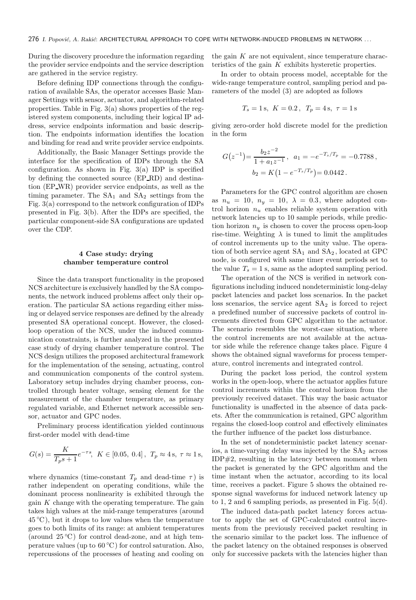During the discovery procedure the information regarding the provider service endpoints and the service description are gathered in the service registry.

Before defining IDP connections through the configuration of available SAs, the operator accesses Basic Manager Settings with sensor, actuator, and algorithm-related properties. Table in Fig. 3(a) shows properties of the registered system components, including their logical IP address, service endpoints information and basic description. The endpoints information identifies the location and binding for read and write provider service endpoints.

Additionally, the Basic Manager Settings provide the interface for the specification of IDPs through the SA configuration. As shown in Fig.  $3(a)$  IDP is specified by defining the connected source (EP RD) and destination (EP WR) provider service endpoints, as well as the timing parameter. The  $SA<sub>1</sub>$  and  $SA<sub>2</sub>$  settings from the Fig. 3(a) correspond to the network configuration of IDPs presented in Fig. 3(b). After the IDPs are specified, the particular component-side SA configurations are updated over the CDP.

# 4 Case study: drying chamber temperature control

Since the data transport functionality in the proposed NCS architecture is exclusively handled by the SA components, the network induced problems affect only their operation. The particular SA actions regarding either missing or delayed service responses are defined by the already presented SA operational concept. However, the closedloop operation of the NCS, under the induced communication constraints, is further analyzed in the presented case study of drying chamber temperature control. The NCS design utilizes the proposed architectural framework for the implementation of the sensing, actuating, control and communication components of the control system. Laboratory setup includes drying chamber process, controlled through heater voltage, sensing element for the measurement of the chamber temperature, as primary regulated variable, and Ethernet network accessible sensor, actuator and GPC nodes.

Preliminary process identification yielded continuous first-order model with dead-time

$$
G(s) = \frac{K}{T_p s + 1} e^{-\tau s}, \ \ K \in [0.05, \ 0.4], \ \ T_p \approx 4 \,\mathrm{s}, \ \tau \approx 1 \,\mathrm{s},
$$

where dynamics (time-constant  $T_p$  and dead-time  $\tau$ ) is rather independent on operating conditions, while the dominant process nonlinearity is exhibited through the gain  $K$  change with the operating temperature. The gain takes high values at the mid-range temperatures (around  $45^{\circ}$ C), but it drops to low values when the temperature goes to both limits of its range: at ambient temperatures (around  $25\textdegree C$ ) for control dead-zone, and at high temperature values (up to  $60^{\circ}$ C) for control saturation. Also, repercussions of the processes of heating and cooling on

the gain  $K$  are not equivalent, since temperature characteristics of the gain  $K$  exhibits hysteretic properties.

In order to obtain process model, acceptable for the wide-range temperature control, sampling period and parameters of the model (3) are adopted as follows

$$
T_s = 1 \text{ s}, \ K = 0.2, \ T_p = 4 \text{ s}, \ \tau = 1 \text{ s}
$$

giving zero-order hold discrete model for the prediction in the form

$$
G(z^{-1}) = \frac{b_2 z^{-2}}{1 + a_1 z^{-1}}, \quad a_1 = -e^{-T_s/T_p} = -0.7788,
$$
  

$$
b_2 = K\left(1 - e^{-T_s/T_p}\right) = 0.0442.
$$

Parameters for the GPC control algorithm are chosen as  $n_u = 10$ ,  $n_v = 10$ ,  $\lambda = 0.3$ , where adopted control horizon  $n_u$  enables reliable system operation with network latencies up to 10 sample periods, while prediction horizon  $n<sub>y</sub>$  is chosen to cover the process open-loop rise-time. Weighting  $\lambda$  is tuned to limit the amplitudes of control increments up to the unity value. The operation of both service agent  $SA<sub>1</sub>$  and  $SA<sub>2</sub>$ , located at GPC node, is configured with same timer event periods set to the value  $T_s = 1$  s, same as the adopted sampling period.

The operation of the NCS is verified in network configurations including induced nondeterministic long-delay packet latencies and packet loss scenarios. In the packet loss scenarios, the service agent  $SA<sub>2</sub>$  is forced to reject a predefined number of successive packets of control increments directed from GPC algorithm to the actuator. The scenario resembles the worst-case situation, where the control increments are not available at the actuator side while the reference change takes place. Figure 4 shows the obtained signal waveforms for process temperature, control increments and integrated control.

During the packet loss period, the control system works in the open-loop, where the actuator applies future control increments within the control horizon from the previously received dataset. This way the basic actuator functionality is unaffected in the absence of data packets. After the communication is retained, GPC algorithm regains the closed-loop control and effectively eliminates the further influence of the packet loss disturbance.

In the set of nondeterministic packet latency scenarios, a time-varying delay was injected by the  $SA<sub>2</sub>$  across IDP#2, resulting in the latency between moment when the packet is generated by the GPC algorithm and the time instant when the actuator, according to its local time, receives a packet. Figure 5 shows the obtained response signal waveforms for induced network latency up to 1, 2 and 6 sampling periods, as presented in Fig. 5(d).

The induced data-path packet latency forces actuator to apply the set of GPC-calculated control increments from the previously received packet resulting in the scenario similar to the packet loss. The influence of the packet latency on the obtained responses is observed only for successive packets with the latencies higher than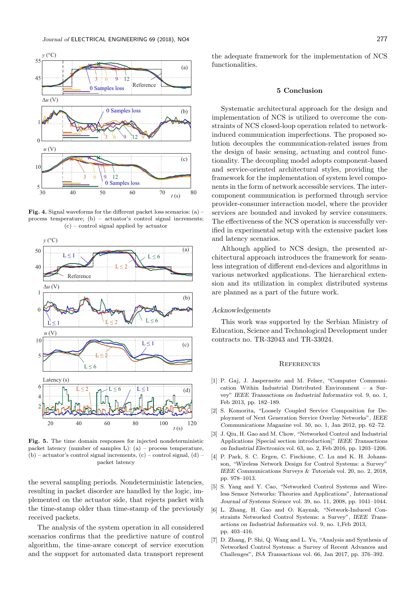

Fig. 4. Signal waveforms for the different packet loss scenarios: (a) – process temperature; (b) – actuator's control signal increments; (c) – control signal applied by actuator



Fig. 5. The time domain responses for injected nondeterministic packet latency (number of samples L): (a) – process temperature, (b) – actuator's control signal increments, (c) – control signal, (d) – packet latency

the several sampling periods. Nondeterministic latencies, resulting in packet disorder are handled by the logic, implemented on the actuator side, that rejects packet with the time-stamp older than time-stamp of the previously received packets.

The analysis of the system operation in all considered scenarios confirms that the predictive nature of control algorithm, the time-aware concept of service execution and the support for automated data transport represent

the adequate framework for the implementation of NCS functionalities.

# 5 Conclusion

Systematic architectural approach for the design and implementation of NCS is utilized to overcome the constraints of NCS closed-loop operation related to networkinduced communication imperfections. The proposed solution decouples the communication-related issues from the design of basic sensing, actuating and control functionality. The decoupling model adopts component-based and service-oriented architectural styles, providing the framework for the implementation of system level components in the form of network accessible services. The intercomponent communication is performed through service provider-consumer interaction model, where the provider services are bounded and invoked by service consumers. The effectiveness of the NCS operation is successfully verified in experimental setup with the extensive packet loss and latency scenarios.

Although applied to NCS design, the presented architectural approach introduces the framework for seamless integration of different end-devices and algorithms in various networked applications. The hierarchical extension and its utilization in complex distributed systems are planned as a part of the future work.

#### Acknowledgements

This work was supported by the Serbian Ministry of Education, Science and Technological Development under contracts no. TR-32043 and TR-33024.

#### **REFERENCES**

- [1] P. Gaj, J. Jasperneite and M. Felser, "Computer Communication Within Industrial Distributed Environment – a Survey" IEEE Transactions on Industrial Informatics vol. 9, no. 1, Feb 2013, pp. 182–189.
- [2] S. Komorita, "Loosely Coupled Service Composition for Deployment of Next Generation Service Overlay Networks", IEEE Communications Magazine vol. 50, no. 1, Jan 2012, pp. 62–72.
- [3] J. Qiu, H. Gao and M. Chow, "Networked Control and Industrial Applications [Special section introduction]" IEEE Transactions on Industrial Electronics vol. 63, no. 2, Feb 2016, pp. 1203–1206.
- [4] P. Park, S. C. Ergen, C. Fischione, C. Lu and K. H. Johansson, "Wireless Network Design for Control Systems: a Survey" IEEE Communications Surveys & Tutorials vol. 20, no. 2, 2018, pp. 978–1013.
- [5] S. Yang and Y. Cao, "Networked Control Systems and Wireless Sensor Networks: Theories and Applications", International Journal of Systems Science vol. 39, no. 11, 2008, pp. 1041–1044.
- [6] L. Zhang, H. Gao and O. Kaynak, "Network-Induced Constraints Networked Control Systems: a Survey", IEEE Transactions on Industrial Informatics vol. 9, no. 1,Feb 2013, pp. 403–416.
- [7] D. Zhang, P. Shi, Q. Wang and L. Yu, "Analysis and Synthesis of Networked Control Systems: a Survey of Recent Advances and Challenges", ISA Transactions vol. 66, Jan 2017, pp. 376–392.